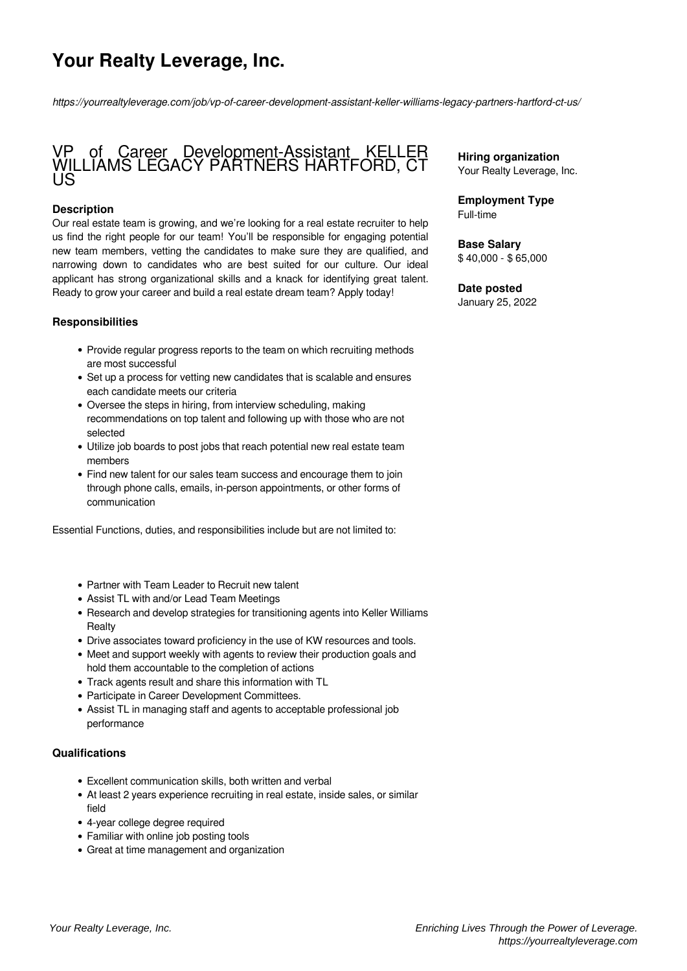# **Your Realty Leverage, Inc.**

*https://yourrealtyleverage.com/job/vp-of-career-development-assistant-keller-williams-legacy-partners-hartford-ct-us/*

### VP of Career Development-Assistant KELLER WILLIAMS LEGACY PARTNERS HARTFORD, CT US

#### **Description**

Our real estate team is growing, and we're looking for a real estate recruiter to help us find the right people for our team! You'll be responsible for engaging potential new team members, vetting the candidates to make sure they are qualified, and narrowing down to candidates who are best suited for our culture. Our ideal applicant has strong organizational skills and a knack for identifying great talent. Ready to grow your career and build a real estate dream team? Apply today!

#### **Responsibilities**

- Provide regular progress reports to the team on which recruiting methods are most successful
- Set up a process for vetting new candidates that is scalable and ensures each candidate meets our criteria
- Oversee the steps in hiring, from interview scheduling, making recommendations on top talent and following up with those who are not selected
- Utilize job boards to post jobs that reach potential new real estate team members
- Find new talent for our sales team success and encourage them to join through phone calls, emails, in-person appointments, or other forms of communication

Essential Functions, duties, and responsibilities include but are not limited to:

- Partner with Team Leader to Recruit new talent
- Assist TL with and/or Lead Team Meetings
- Research and develop strategies for transitioning agents into Keller Williams **Realty**
- Drive associates toward proficiency in the use of KW resources and tools.
- Meet and support weekly with agents to review their production goals and hold them accountable to the completion of actions
- Track agents result and share this information with TL
- Participate in Career Development Committees.
- Assist TL in managing staff and agents to acceptable professional job performance

#### **Qualifications**

- Excellent communication skills, both written and verbal
- At least 2 years experience recruiting in real estate, inside sales, or similar field
- 4-year college degree required
- Familiar with online job posting tools
- Great at time management and organization

**Hiring organization** Your Realty Leverage, Inc.

**Employment Type** Full-time

**Base Salary** \$ 40,000 - \$ 65,000

## **Date posted**

January 25, 2022